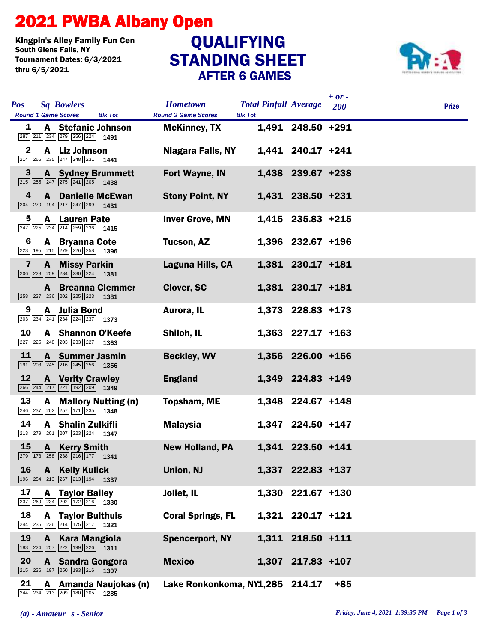## 2021 PWBA Albany Open

Kingpin's Alley Family Fun Cen Tournament Dates: 6/3/2021 thru 6/5/2021

## STANDING SHEET AFTER 6 GAMES QUALIFYING



| <b>Pos</b>              | <b>Sq Bowlers</b><br><b>Round 1 Game Scores</b><br><b>Blk Tot</b>                                                                      | <b>Hometown</b><br><b>Round 2 Game Scores</b> | <b>Total Pinfall Average</b><br><b>Blk Tot</b> |                     | $+$ or $-$<br><b>200</b> | <b>Prize</b> |
|-------------------------|----------------------------------------------------------------------------------------------------------------------------------------|-----------------------------------------------|------------------------------------------------|---------------------|--------------------------|--------------|
| 1                       | A Stefanie Johnson<br>$\boxed{287}$ $\boxed{211}$ $\boxed{234}$ $\boxed{279}$ $\boxed{256}$ $\boxed{224}$ <b>1491</b>                  | <b>McKinney, TX</b>                           |                                                | 1,491 248.50 +291   |                          |              |
| $\mathbf 2$             | Liz Johnson<br>A<br>$\boxed{214}$ $\boxed{266}$ $\boxed{235}$ $\boxed{247}$ $\boxed{248}$ $\boxed{231}$ <b>1441</b>                    | <b>Niagara Falls, NY</b>                      |                                                | 1,441 240.17 +241   |                          |              |
| 3                       | <b>A</b> Sydney Brummett<br>$\boxed{215}$ $\boxed{255}$ $\boxed{247}$ $\boxed{275}$ $\boxed{241}$ $\boxed{205}$ <b>1438</b>            | <b>Fort Wayne, IN</b>                         |                                                | 1,438 239.67 +238   |                          |              |
| 4                       | <b>Danielle McEwan</b><br>A<br>$\boxed{204}$ $\boxed{270}$ $\boxed{194}$ $\boxed{217}$ $\boxed{247}$ $\boxed{299}$ <b>1431</b>         | <b>Stony Point, NY</b>                        |                                                | 1,431 238.50 +231   |                          |              |
| 5                       | <b>Lauren Pate</b><br>A<br>$\sqrt{247}$ $\sqrt{225}$ $\sqrt{234}$ $\sqrt{214}$ $\sqrt{259}$ $\sqrt{236}$ 1415                          | <b>Inver Grove, MN</b>                        |                                                | 1,415 235.83 +215   |                          |              |
| 6                       | <b>A</b> Bryanna Cote<br>223 195 215 279 226 258 1396                                                                                  | Tucson, AZ                                    |                                                | $1,396$ 232.67 +196 |                          |              |
| $\overline{\mathbf{z}}$ | $\mathbf{A}$<br><b>Missy Parkin</b><br>$\boxed{206}$ $\boxed{228}$ $\boxed{259}$ $\boxed{234}$ $\boxed{230}$ $\boxed{224}$ <b>1381</b> | Laguna Hills, CA                              |                                                | 1,381 230.17 +181   |                          |              |
|                         | <b>A</b> Breanna Clemmer<br>258 237 236 202 225 223 1381                                                                               | <b>Clover, SC</b>                             |                                                | 1,381 230.17 +181   |                          |              |
| 9                       | <b>Julia Bond</b><br>A<br>$\boxed{203}$ $\boxed{234}$ $\boxed{241}$ $\boxed{234}$ $\boxed{224}$ $\boxed{237}$ <b>1373</b>              | Aurora, IL                                    |                                                | 1,373 228.83 +173   |                          |              |
| 10                      | <b>A</b> Shannon O'Keefe<br>$\boxed{227}$ $\boxed{225}$ $\boxed{248}$ $\boxed{203}$ $\boxed{233}$ $\boxed{227}$ <b>1363</b>            | Shiloh, IL                                    |                                                | $1,363$ 227.17 +163 |                          |              |
| 11                      | <b>A</b> Summer Jasmin<br>$\boxed{191}$ $\boxed{203}$ $\boxed{245}$ $\boxed{216}$ $\boxed{245}$ $\boxed{256}$ <b>1356</b>              | <b>Beckley, WV</b>                            |                                                | 1,356 226.00 +156   |                          |              |
| 12                      | <b>A</b> Verity Crawley<br>$\boxed{266}$ $\boxed{244}$ $\boxed{217}$ $\boxed{221}$ $\boxed{192}$ $\boxed{209}$ <b>1349</b>             | <b>England</b>                                |                                                | 1,349 224.83 +149   |                          |              |
| 13                      | <b>Mallory Nutting (n)</b><br>A<br>$\boxed{246}$ $\boxed{237}$ $\boxed{202}$ $\boxed{257}$ $\boxed{171}$ $\boxed{235}$ <b>1348</b>     | <b>Topsham, ME</b>                            |                                                | 1,348 224.67 +148   |                          |              |
| 14                      | <b>A</b> Shalin Zulkifli<br>$\boxed{213}$ $\boxed{279}$ $\boxed{201}$ $\boxed{207}$ $\boxed{223}$ $\boxed{224}$ <b>1347</b>            | <b>Malaysia</b>                               |                                                | 1,347 224.50 +147   |                          |              |
| 15                      | <b>Kerry Smith</b><br>A<br>$ 279   173   258   238   216   177 $ 1341                                                                  | <b>New Holland, PA</b>                        |                                                | 1,341 223.50 +141   |                          |              |
| 16                      | A<br><b>Kelly Kulick</b><br>$\boxed{196}$ $\boxed{254}$ $\boxed{213}$ $\boxed{267}$ $\boxed{213}$ $\boxed{194}$ <b>1337</b>            | <b>Union, NJ</b>                              |                                                | 1,337 222.83 +137   |                          |              |
| 17                      | <b>Taylor Bailey</b><br>A<br>237 269 234 202 172 216 1330                                                                              | Joliet, IL                                    |                                                | 1,330 221.67 +130   |                          |              |
| 18                      | <b>A</b> Taylor Bulthuis<br>244 235 236 214 175 217 1321                                                                               | <b>Coral Springs, FL</b>                      |                                                | 1,321 220.17 +121   |                          |              |
| 19                      | $\mathbf{A}$<br><b>Kara Mangiola</b><br>$\boxed{183}\boxed{224}\boxed{257}\boxed{222}\boxed{199}\boxed{226}$ 1311                      | <b>Spencerport, NY</b>                        |                                                | 1,311 218.50 +111   |                          |              |
| 20                      | A Sandra Gongora<br>$\boxed{215}$ $\boxed{236}$ $\boxed{197}$ $\boxed{250}$ $\boxed{193}$ $\boxed{216}$ <b>1307</b>                    | <b>Mexico</b>                                 |                                                | 1,307 217.83 +107   |                          |              |
| 21                      | A Amanda Naujokas (n)<br>244 234 213 209 180 205 1285                                                                                  | Lake Ronkonkoma, NY1,285 214.17               |                                                |                     | $+85$                    |              |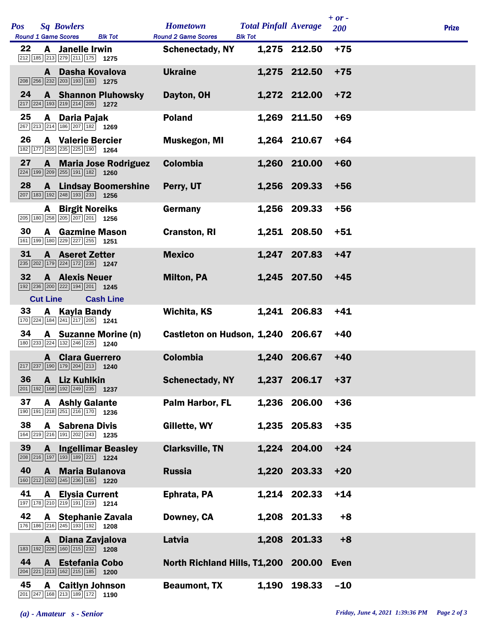|  | <b>Pos</b><br><b>Round 1 Game Scores</b> | <b>Sq Bowlers</b><br><b>Blk Tot</b>                                                                                              | <b>Hometown</b><br><b>Round 2 Game Scores</b><br><b>Blk Tot</b> | <b>Total Pinfall Average</b> |              | $+$ or $-$<br>200 | <b>Prize</b> |  |
|--|------------------------------------------|----------------------------------------------------------------------------------------------------------------------------------|-----------------------------------------------------------------|------------------------------|--------------|-------------------|--------------|--|
|  | 22                                       | A Janelle Irwin<br>212 185 213 279 211 175 1275                                                                                  | <b>Schenectady, NY</b>                                          |                              | 1,275 212.50 | $+75$             |              |  |
|  |                                          | A Dasha Kovalova<br>$\boxed{208}$ $\boxed{256}$ $\boxed{232}$ $\boxed{203}$ $\boxed{193}$ $\boxed{183}$ <b>1275</b>              | <b>Ukraine</b>                                                  |                              | 1,275 212.50 | $+75$             |              |  |
|  | 24                                       | <b>A</b> Shannon Pluhowsky<br>$\boxed{217}$ $\boxed{224}$ $\boxed{193}$ $\boxed{219}$ $\boxed{214}$ $\boxed{205}$ <b>1272</b>    | Dayton, OH                                                      |                              | 1,272 212.00 | $+72$             |              |  |
|  | 25                                       | A Daria Pajak<br>267 213 214 186 207 182 1269                                                                                    | <b>Poland</b>                                                   |                              | 1,269 211.50 | $+69$             |              |  |
|  | 26                                       | <b>A</b> Valerie Bercier<br>182 177 255 235 225 190 1264                                                                         | Muskegon, MI                                                    |                              | 1,264 210.67 | $+64$             |              |  |
|  | 27                                       | <b>A</b> Maria Jose Rodriguez<br>$\boxed{224}$ $\boxed{199}$ $\boxed{209}$ $\boxed{255}$ $\boxed{191}$ $\boxed{182}$ <b>1260</b> | <b>Colombia</b>                                                 |                              | 1,260 210.00 | $+60$             |              |  |
|  | 28                                       | <b>A</b> Lindsay Boomershine<br>207 183 192 248 193 233 1256                                                                     | Perry, UT                                                       |                              | 1,256 209.33 | $+56$             |              |  |
|  |                                          | <b>A</b> Birgit Noreiks<br>205 180 258 205 207 201 1256                                                                          | Germany                                                         |                              | 1,256 209.33 | $+56$             |              |  |
|  | 30                                       | <b>A</b> Gazmine Mason<br>161 199 180 229 227 255 1251                                                                           | <b>Cranston, RI</b>                                             |                              | 1,251 208.50 | $+51$             |              |  |
|  | 31                                       | <b>A</b> Aseret Zetter<br>235 202 179 224 172 235 1247                                                                           | <b>Mexico</b>                                                   |                              | 1,247 207.83 | $+47$             |              |  |
|  | 32                                       | <b>A</b> Alexis Neuer<br>192 236 200 222 194 201 1245                                                                            | <b>Milton, PA</b>                                               |                              | 1,245 207.50 | $+45$             |              |  |
|  | <b>Cut Line</b>                          | <b>Cash Line</b>                                                                                                                 |                                                                 |                              |              |                   |              |  |
|  | 33                                       | A Kayla Bandy<br>170 224 184 241 217 205 1241                                                                                    | Wichita, KS                                                     |                              | 1,241 206.83 | $+41$             |              |  |
|  | 34                                       | A Suzanne Morine (n)<br>180 233 224 132 246 225 1240                                                                             | Castleton on Hudson, 1,240 206.67                               |                              |              | $+40$             |              |  |
|  |                                          | <b>A</b> Clara Guerrero<br>$\boxed{217}$ $\boxed{237}$ $\boxed{190}$ $\boxed{179}$ $\boxed{204}$ $\boxed{213}$ <b>1240</b>       | <b>Colombia</b>                                                 | 1,240                        | 206.67       | $+40$             |              |  |
|  | 36                                       | A Liz Kuhlkin<br>201 192 168 192 249 235 1237                                                                                    | <b>Schenectady, NY</b>                                          |                              | 1,237 206.17 | $+37$             |              |  |
|  | 37                                       | <b>A</b> Ashly Galante<br>190 191 218 251 216 170 1236                                                                           | <b>Palm Harbor, FL</b>                                          |                              | 1,236 206.00 | $+36$             |              |  |
|  | 38                                       | <b>A</b> Sabrena Divis<br>164 219 216 191 202 243 1235                                                                           | Gillette, WY                                                    |                              | 1,235 205.83 | $+35$             |              |  |
|  | 39                                       | <b>A</b> Ingellimar Beasley<br>208 216 197 193 189 221 1224                                                                      | <b>Clarksville, TN</b>                                          |                              | 1,224 204.00 | $+24$             |              |  |
|  | 40                                       | A Maria Bulanova<br>160 212 202 245 236 165 1220                                                                                 | <b>Russia</b>                                                   |                              | 1,220 203.33 | $+20$             |              |  |
|  | 41                                       | <b>A</b> Elysia Current<br>197 178 210 219 191 219 1214                                                                          | Ephrata, PA                                                     |                              | 1,214 202.33 | $+14$             |              |  |
|  | 42                                       | A Stephanie Zavala<br>176 186 216 245 193 192 1208                                                                               | Downey, CA                                                      |                              | 1,208 201.33 | $+8$              |              |  |
|  |                                          | A Diana Zavjalova<br>183 192 226 160 215 232 1208                                                                                | Latvia                                                          |                              | 1,208 201.33 | $+8$              |              |  |
|  | 44                                       | A Estefania Cobo<br>$\boxed{204}$ $\boxed{221}$ $\boxed{213}$ $\boxed{162}$ $\boxed{215}$ $\boxed{185}$ <b>1200</b>              | North Richland Hills, T1,200 200.00 Even                        |                              |              |                   |              |  |
|  | 45                                       | <b>A</b> Caitlyn Johnson<br>201 247 168 213 189 172 1190                                                                         | <b>Beaumont, TX</b>                                             |                              | 1,190 198.33 | $-10$             |              |  |